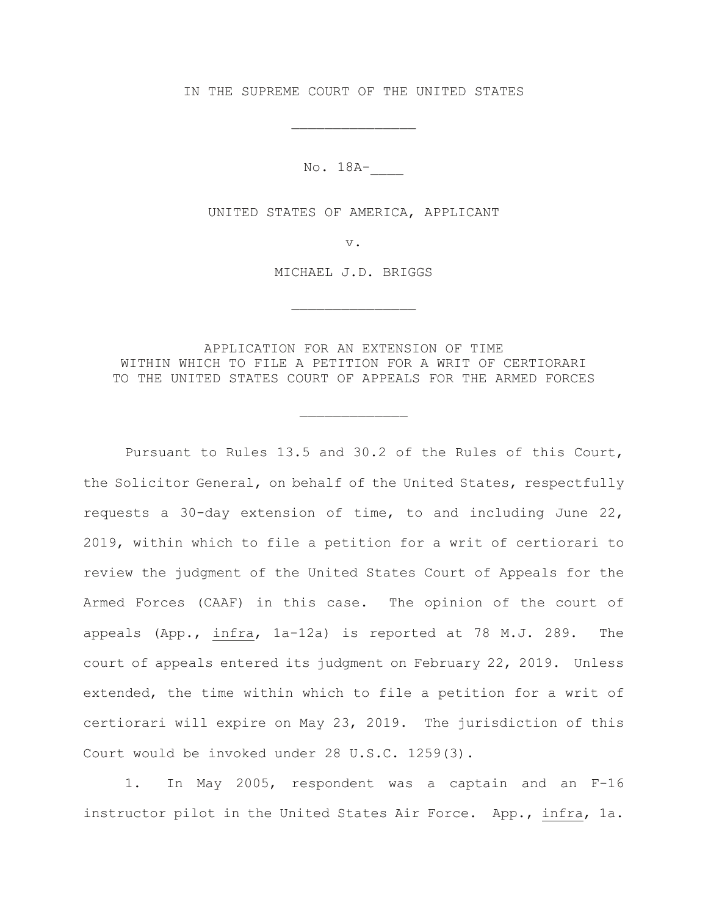IN THE SUPREME COURT OF THE UNITED STATES

\_\_\_\_\_\_\_\_\_\_\_\_\_\_\_

No. 18A-\_\_\_\_

UNITED STATES OF AMERICA, APPLICANT

v.

MICHAEL J.D. BRIGGS

\_\_\_\_\_\_\_\_\_\_\_\_\_\_\_

APPLICATION FOR AN EXTENSION OF TIME WITHIN WHICH TO FILE A PETITION FOR A WRIT OF CERTIORARI TO THE UNITED STATES COURT OF APPEALS FOR THE ARMED FORCES

\_\_\_\_\_\_\_\_\_\_\_\_\_

Pursuant to Rules 13.5 and 30.2 of the Rules of this Court, the Solicitor General, on behalf of the United States, respectfully requests a 30-day extension of time, to and including June 22, 2019, within which to file a petition for a writ of certiorari to review the judgment of the United States Court of Appeals for the Armed Forces (CAAF) in this case. The opinion of the court of appeals (App., infra, 1a-12a) is reported at 78 M.J. 289. The court of appeals entered its judgment on February 22, 2019. Unless extended, the time within which to file a petition for a writ of certiorari will expire on May 23, 2019. The jurisdiction of this Court would be invoked under 28 U.S.C. 1259(3).

1. In May 2005, respondent was a captain and an F-16 instructor pilot in the United States Air Force. App., infra, 1a.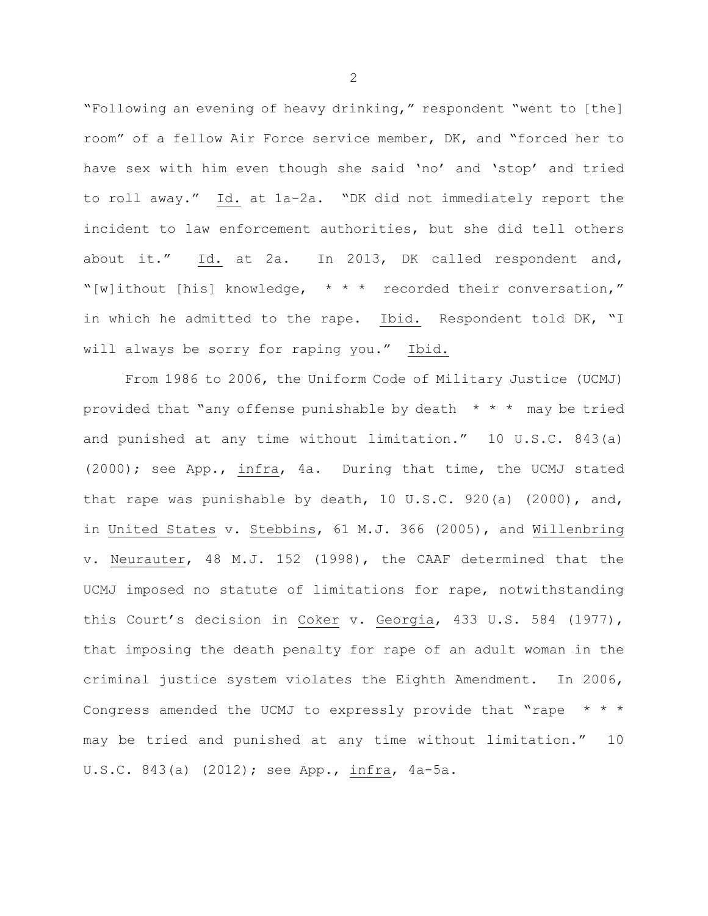"Following an evening of heavy drinking," respondent "went to [the] room" of a fellow Air Force service member, DK, and "forced her to have sex with him even though she said 'no' and 'stop' and tried to roll away." Id. at 1a-2a. "DK did not immediately report the incident to law enforcement authorities, but she did tell others about it." Id. at 2a. In 2013, DK called respondent and, "[w]ithout [his] knowledge, \* \* \* recorded their conversation," in which he admitted to the rape. Ibid. Respondent told DK, "I will always be sorry for raping you." Ibid.

From 1986 to 2006, the Uniform Code of Military Justice (UCMJ) provided that "any offense punishable by death  $* * *$  may be tried and punished at any time without limitation." 10 U.S.C. 843(a) (2000); see App., infra, 4a. During that time, the UCMJ stated that rape was punishable by death,  $10 \text{ U.S.C. } 920(a)$  (2000), and, in United States v. Stebbins, 61 M.J. 366 (2005), and Willenbring v. Neurauter, 48 M.J. 152 (1998), the CAAF determined that the UCMJ imposed no statute of limitations for rape, notwithstanding this Court's decision in Coker v. Georgia, 433 U.S. 584 (1977), that imposing the death penalty for rape of an adult woman in the criminal justice system violates the Eighth Amendment. In 2006, Congress amended the UCMJ to expressly provide that "rape \* \* \* may be tried and punished at any time without limitation." 10 U.S.C. 843(a) (2012); see App., infra, 4a-5a.

2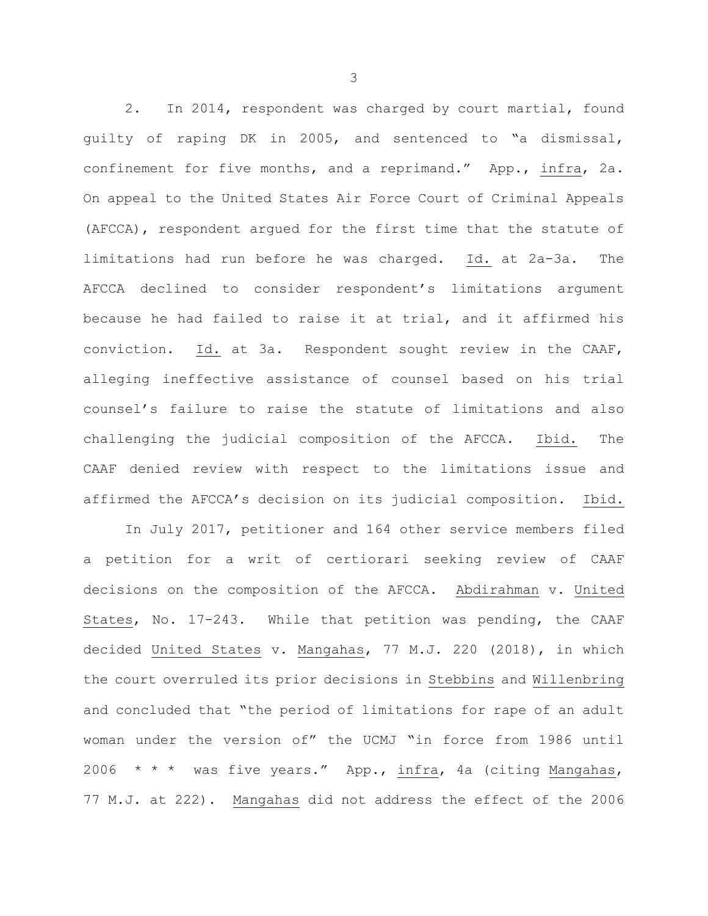2. In 2014, respondent was charged by court martial, found guilty of raping DK in 2005, and sentenced to "a dismissal, confinement for five months, and a reprimand." App., infra, 2a. On appeal to the United States Air Force Court of Criminal Appeals (AFCCA), respondent argued for the first time that the statute of limitations had run before he was charged. Id. at 2a-3a. The AFCCA declined to consider respondent's limitations argument because he had failed to raise it at trial, and it affirmed his conviction. Id. at 3a. Respondent sought review in the CAAF, alleging ineffective assistance of counsel based on his trial counsel's failure to raise the statute of limitations and also challenging the judicial composition of the AFCCA. Ibid. The CAAF denied review with respect to the limitations issue and affirmed the AFCCA's decision on its judicial composition. Ibid.

In July 2017, petitioner and 164 other service members filed a petition for a writ of certiorari seeking review of CAAF decisions on the composition of the AFCCA. Abdirahman v. United States, No. 17-243. While that petition was pending, the CAAF decided United States v. Mangahas, 77 M.J. 220 (2018), in which the court overruled its prior decisions in Stebbins and Willenbring and concluded that "the period of limitations for rape of an adult woman under the version of" the UCMJ "in force from 1986 until 2006 \* \* \* was five years." App., infra, 4a (citing Mangahas, 77 M.J. at 222). Mangahas did not address the effect of the 2006

3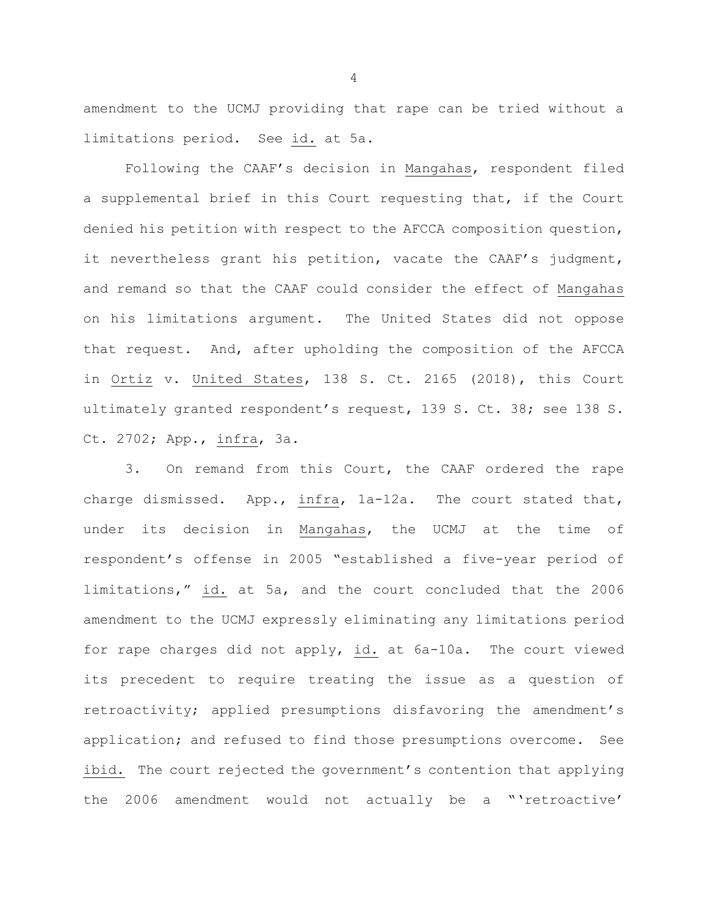amendment to the UCMJ providing that rape can be tried without a limitations period. See id. at 5a.

Following the CAAF's decision in Mangahas, respondent filed a supplemental brief in this Court requesting that, if the Court denied his petition with respect to the AFCCA composition question, it nevertheless grant his petition, vacate the CAAF's judgment, and remand so that the CAAF could consider the effect of Mangahas on his limitations argument. The United States did not oppose that request. And, after upholding the composition of the AFCCA in Ortiz v. United States, 138 S. Ct. 2165 (2018), this Court ultimately granted respondent's request, 139 S. Ct. 38; see 138 S. Ct. 2702; App., infra, 3a.

3. On remand from this Court, the CAAF ordered the rape charge dismissed. App., infra, 1a-12a. The court stated that, under its decision in Mangahas, the UCMJ at the time of respondent's offense in 2005 "established a five-year period of limitations," id. at 5a, and the court concluded that the 2006 amendment to the UCMJ expressly eliminating any limitations period for rape charges did not apply, id. at 6a-10a. The court viewed its precedent to require treating the issue as a question of retroactivity; applied presumptions disfavoring the amendment's application; and refused to find those presumptions overcome. See ibid. The court rejected the government's contention that applying the 2006 amendment would not actually be a "'retroactive'

4